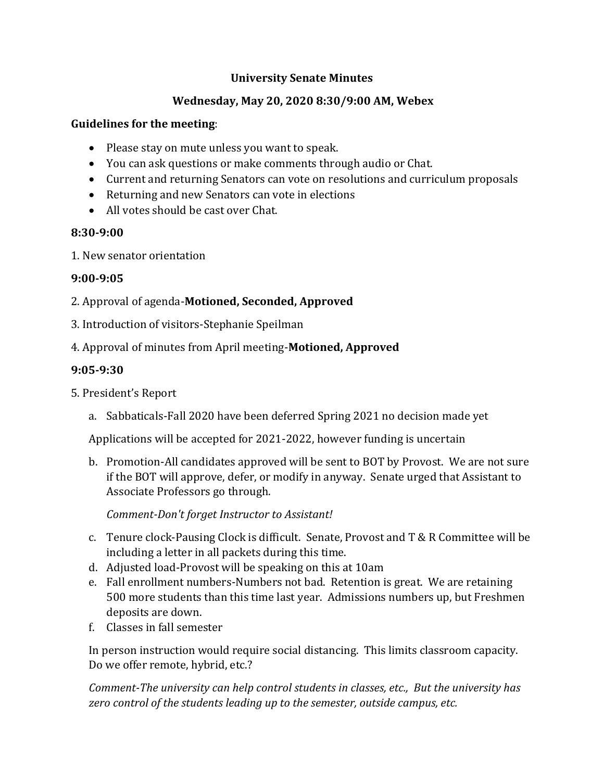## **University Senate Minutes**

# **Wednesday, May 20, 2020 8:30/9:00 AM, Webex**

### **Guidelines for the meeting**:

- Please stay on mute unless you want to speak.
- You can ask questions or make comments through audio or Chat.
- Current and returning Senators can vote on resolutions and curriculum proposals
- Returning and new Senators can vote in elections
- All votes should be cast over Chat.

## **8:30-9:00**

1. New senator orientation

## **9:00-9:05**

- 2. Approval of agenda-**Motioned, Seconded, Approved**
- 3. Introduction of visitors-Stephanie Speilman
- 4. Approval of minutes from April meeting-**Motioned, Approved**

# **9:05-9:30**

- 5. President's Report
	- a. Sabbaticals-Fall 2020 have been deferred Spring 2021 no decision made yet

Applications will be accepted for 2021-2022, however funding is uncertain

b. Promotion-All candidates approved will be sent to BOT by Provost. We are not sure if the BOT will approve, defer, or modify in anyway. Senate urged that Assistant to Associate Professors go through.

*Comment-Don't forget Instructor to Assistant!*

- c. Tenure clock-Pausing Clock is difficult. Senate, Provost and T & R Committee will be including a letter in all packets during this time.
- d. Adjusted load-Provost will be speaking on this at 10am
- e. Fall enrollment numbers-Numbers not bad. Retention is great. We are retaining 500 more students than this time last year. Admissions numbers up, but Freshmen deposits are down.
- f. Classes in fall semester

In person instruction would require social distancing. This limits classroom capacity. Do we offer remote, hybrid, etc.?

*Comment-The university can help control students in classes, etc., But the university has zero control of the students leading up to the semester, outside campus, etc.*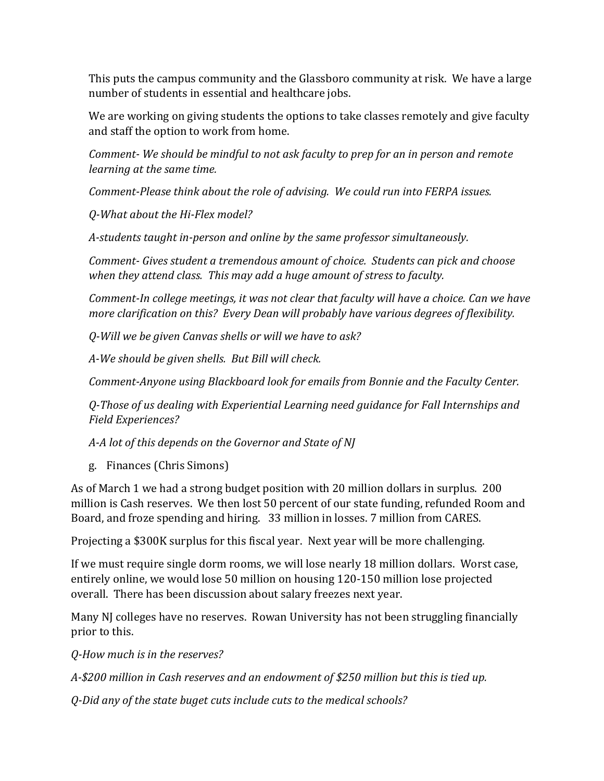This puts the campus community and the Glassboro community at risk. We have a large number of students in essential and healthcare jobs.

We are working on giving students the options to take classes remotely and give faculty and staff the option to work from home.

*Comment- We should be mindful to not ask faculty to prep for an in person and remote learning at the same time.* 

*Comment-Please think about the role of advising. We could run into FERPA issues.*

*Q-What about the Hi-Flex model?*

*A-students taught in-person and online by the same professor simultaneously.* 

*Comment- Gives student a tremendous amount of choice. Students can pick and choose when they attend class. This may add a huge amount of stress to faculty.*

*Comment-In college meetings, it was not clear that faculty will have a choice. Can we have more clarification on this? Every Dean will probably have various degrees of flexibility.*

*Q-Will we be given Canvas shells or will we have to ask?*

*A-We should be given shells. But Bill will check.* 

*Comment-Anyone using Blackboard look for emails from Bonnie and the Faculty Center.* 

*Q-Those of us dealing with Experiential Learning need guidance for Fall Internships and Field Experiences?*

*A-A lot of this depends on the Governor and State of NJ*

g. Finances (Chris Simons)

As of March 1 we had a strong budget position with 20 million dollars in surplus. 200 million is Cash reserves. We then lost 50 percent of our state funding, refunded Room and Board, and froze spending and hiring. 33 million in losses. 7 million from CARES.

Projecting a \$300K surplus for this fiscal year. Next year will be more challenging.

If we must require single dorm rooms, we will lose nearly 18 million dollars. Worst case, entirely online, we would lose 50 million on housing 120-150 million lose projected overall. There has been discussion about salary freezes next year.

Many NJ colleges have no reserves. Rowan University has not been struggling financially prior to this.

*Q-How much is in the reserves?*

*A-\$200 million in Cash reserves and an endowment of \$250 million but this is tied up.* 

*Q-Did any of the state buget cuts include cuts to the medical schools?*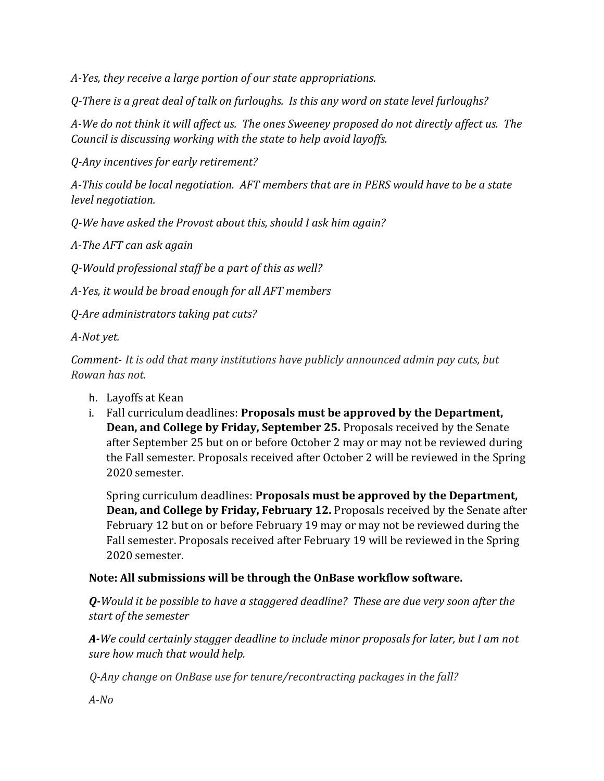*A-Yes, they receive a large portion of our state appropriations.* 

*Q-There is a great deal of talk on furloughs. Is this any word on state level furloughs?*

*A-We do not think it will affect us. The ones Sweeney proposed do not directly affect us. The Council is discussing working with the state to help avoid layoffs.* 

*Q-Any incentives for early retirement?*

*A-This could be local negotiation. AFT members that are in PERS would have to be a state level negotiation.* 

*Q-We have asked the Provost about this, should I ask him again?*

*A-The AFT can ask again*

*Q-Would professional staff be a part of this as well?*

*A-Yes, it would be broad enough for all AFT members*

*Q-Are administrators taking pat cuts?*

*A-Not yet.* 

*Comment- It is odd that many institutions have publicly announced admin pay cuts, but Rowan has not.*

- h. Layoffs at Kean
- i. Fall curriculum deadlines: **Proposals must be approved by the Department, Dean, and College by Friday, September 25.** Proposals received by the Senate after September 25 but on or before October 2 may or may not be reviewed during the Fall semester. Proposals received after October 2 will be reviewed in the Spring 2020 semester.

Spring curriculum deadlines: **Proposals must be approved by the Department, Dean, and College by Friday, February 12.** Proposals received by the Senate after February 12 but on or before February 19 may or may not be reviewed during the Fall semester. Proposals received after February 19 will be reviewed in the Spring 2020 semester.

# **Note: All submissions will be through the OnBase workflow software.**

*Q-Would it be possible to have a staggered deadline? These are due very soon after the start of the semester*

*A-We could certainly stagger deadline to include minor proposals for later, but I am not sure how much that would help.*

*Q-Any change on OnBase use for tenure/recontracting packages in the fall?*

*A-No*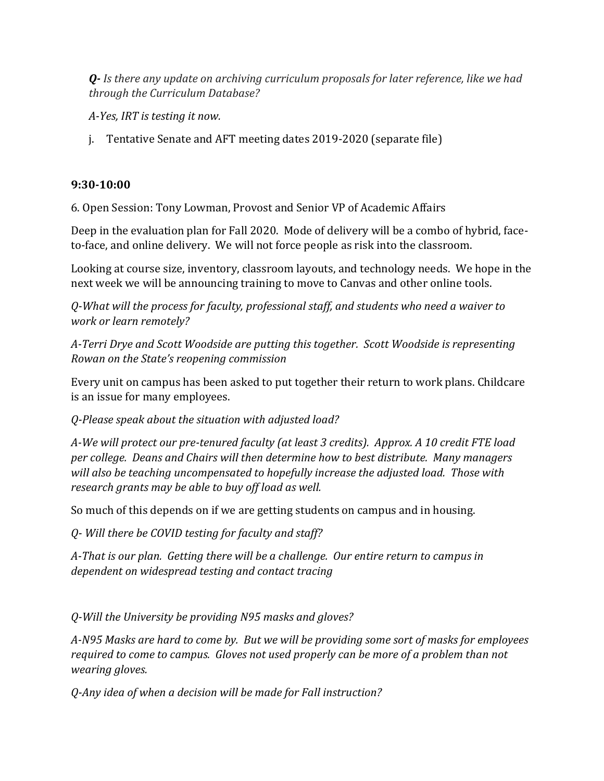*Q- Is there any update on archiving curriculum proposals for later reference, like we had through the Curriculum Database?*

*A-Yes, IRT is testing it now.* 

j. Tentative Senate and AFT meeting dates 2019-2020 (separate file)

# **9:30-10:00**

6. Open Session: Tony Lowman, Provost and Senior VP of Academic Affairs

Deep in the evaluation plan for Fall 2020. Mode of delivery will be a combo of hybrid, faceto-face, and online delivery. We will not force people as risk into the classroom.

Looking at course size, inventory, classroom layouts, and technology needs. We hope in the next week we will be announcing training to move to Canvas and other online tools.

*Q-What will the process for faculty, professional staff, and students who need a waiver to work or learn remotely?*

*A-Terri Drye and Scott Woodside are putting this together. Scott Woodside is representing Rowan on the State's reopening commission*

Every unit on campus has been asked to put together their return to work plans. Childcare is an issue for many employees.

*Q-Please speak about the situation with adjusted load?*

*A-We will protect our pre-tenured faculty (at least 3 credits). Approx. A 10 credit FTE load per college. Deans and Chairs will then determine how to best distribute. Many managers will also be teaching uncompensated to hopefully increase the adjusted load. Those with research grants may be able to buy off load as well.* 

So much of this depends on if we are getting students on campus and in housing.

*Q- Will there be COVID testing for faculty and staff?*

*A-That is our plan. Getting there will be a challenge. Our entire return to campus in dependent on widespread testing and contact tracing* 

*Q-Will the University be providing N95 masks and gloves?*

*A-N95 Masks are hard to come by. But we will be providing some sort of masks for employees required to come to campus. Gloves not used properly can be more of a problem than not wearing gloves.*

*Q-Any idea of when a decision will be made for Fall instruction?*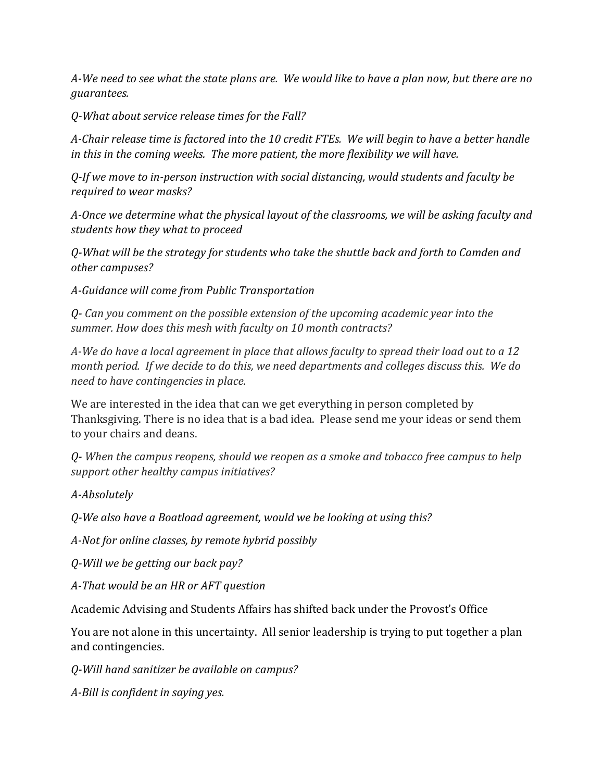*A-We need to see what the state plans are. We would like to have a plan now, but there are no guarantees.* 

*Q-What about service release times for the Fall?*

*A-Chair release time is factored into the 10 credit FTEs. We will begin to have a better handle in this in the coming weeks. The more patient, the more flexibility we will have.*

*Q-If we move to in-person instruction with social distancing, would students and faculty be required to wear masks?* 

*A-Once we determine what the physical layout of the classrooms, we will be asking faculty and students how they what to proceed*

*Q-What will be the strategy for students who take the shuttle back and forth to Camden and other campuses?*

*A-Guidance will come from Public Transportation*

*Q- Can you comment on the possible extension of the upcoming academic year into the summer. How does this mesh with faculty on 10 month contracts?*

*A-We do have a local agreement in place that allows faculty to spread their load out to a 12 month period. If we decide to do this, we need departments and colleges discuss this. We do need to have contingencies in place.* 

We are interested in the idea that can we get everything in person completed by Thanksgiving. There is no idea that is a bad idea. Please send me your ideas or send them to your chairs and deans.

*Q- When the campus reopens, should we reopen as a smoke and tobacco free campus to help support other healthy campus initiatives?*

*A-Absolutely*

*Q-We also have a Boatload agreement, would we be looking at using this?*

*A-Not for online classes, by remote hybrid possibly*

*Q-Will we be getting our back pay?*

*A-That would be an HR or AFT question*

Academic Advising and Students Affairs has shifted back under the Provost's Office

You are not alone in this uncertainty. All senior leadership is trying to put together a plan and contingencies.

*Q-Will hand sanitizer be available on campus?*

*A-Bill is confident in saying yes.*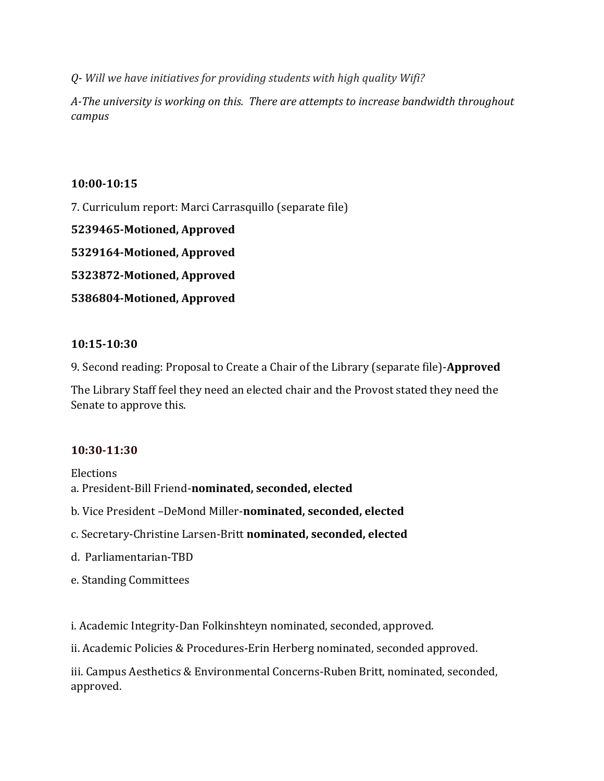*Q- Will we have initiatives for providing students with high quality Wifi?* 

*A-The university is working on this. There are attempts to increase bandwidth throughout campus*

### **10:00-10:15**

7. Curriculum report: Marci Carrasquillo (separate file)

**5239465-Motioned, Approved**

**5329164-Motioned, Approved**

**5323872-Motioned, Approved**

**5386804-Motioned, Approved**

## **10:15-10:30**

9. Second reading: Proposal to Create a Chair of the Library (separate file)-**Approved**

The Library Staff feel they need an elected chair and the Provost stated they need the Senate to approve this.

## **10:30-11:30**

Elections a. President-Bill Friend-**nominated, seconded, elected**

- b. Vice President –DeMond Miller-**nominated, seconded, elected**
- c. Secretary-Christine Larsen-Britt **nominated, seconded, elected**
- d. Parliamentarian-TBD
- e. Standing Committees

i. Academic Integrity-Dan Folkinshteyn nominated, seconded, approved.

ii. Academic Policies & Procedures-Erin Herberg nominated, seconded approved.

iii. Campus Aesthetics & Environmental Concerns-Ruben Britt, nominated, seconded, approved.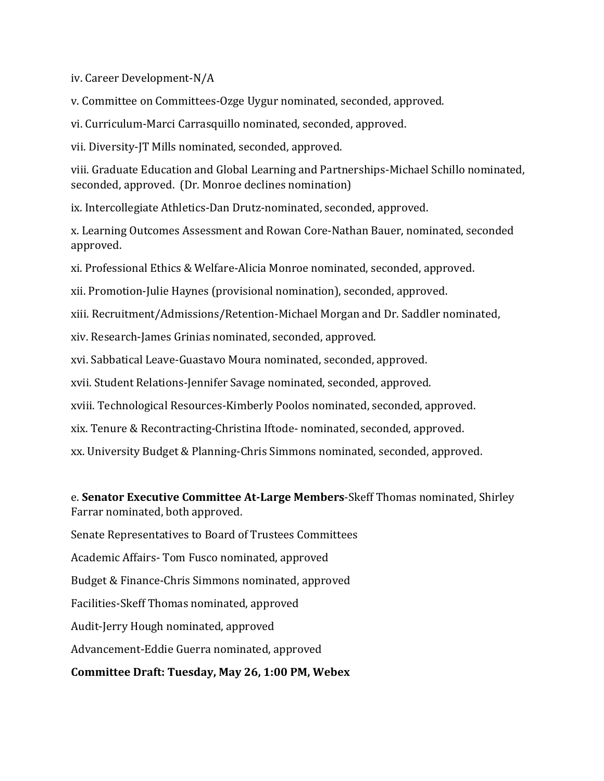iv. Career Development-N/A

v. Committee on Committees-Ozge Uygur nominated, seconded, approved.

vi. Curriculum-Marci Carrasquillo nominated, seconded, approved.

vii. Diversity-JT Mills nominated, seconded, approved.

viii. Graduate Education and Global Learning and Partnerships-Michael Schillo nominated, seconded, approved. (Dr. Monroe declines nomination)

ix. Intercollegiate Athletics-Dan Drutz-nominated, seconded, approved.

x. Learning Outcomes Assessment and Rowan Core-Nathan Bauer, nominated, seconded approved.

xi. Professional Ethics & Welfare-Alicia Monroe nominated, seconded, approved.

xii. Promotion-Julie Haynes (provisional nomination), seconded, approved.

xiii. Recruitment/Admissions/Retention-Michael Morgan and Dr. Saddler nominated,

xiv. Research-James Grinias nominated, seconded, approved.

xvi. Sabbatical Leave-Guastavo Moura nominated, seconded, approved.

xvii. Student Relations-Jennifer Savage nominated, seconded, approved.

xviii. Technological Resources-Kimberly Poolos nominated, seconded, approved.

xix. Tenure & Recontracting-Christina Iftode- nominated, seconded, approved.

xx. University Budget & Planning-Chris Simmons nominated, seconded, approved.

e. **Senator Executive Committee At-Large Members**-Skeff Thomas nominated, Shirley Farrar nominated, both approved.

Senate Representatives to Board of Trustees Committees

Academic Affairs- Tom Fusco nominated, approved

Budget & Finance-Chris Simmons nominated, approved

Facilities-Skeff Thomas nominated, approved

Audit-Jerry Hough nominated, approved

Advancement-Eddie Guerra nominated, approved

## **Committee Draft: Tuesday, May 26, 1:00 PM, Webex**